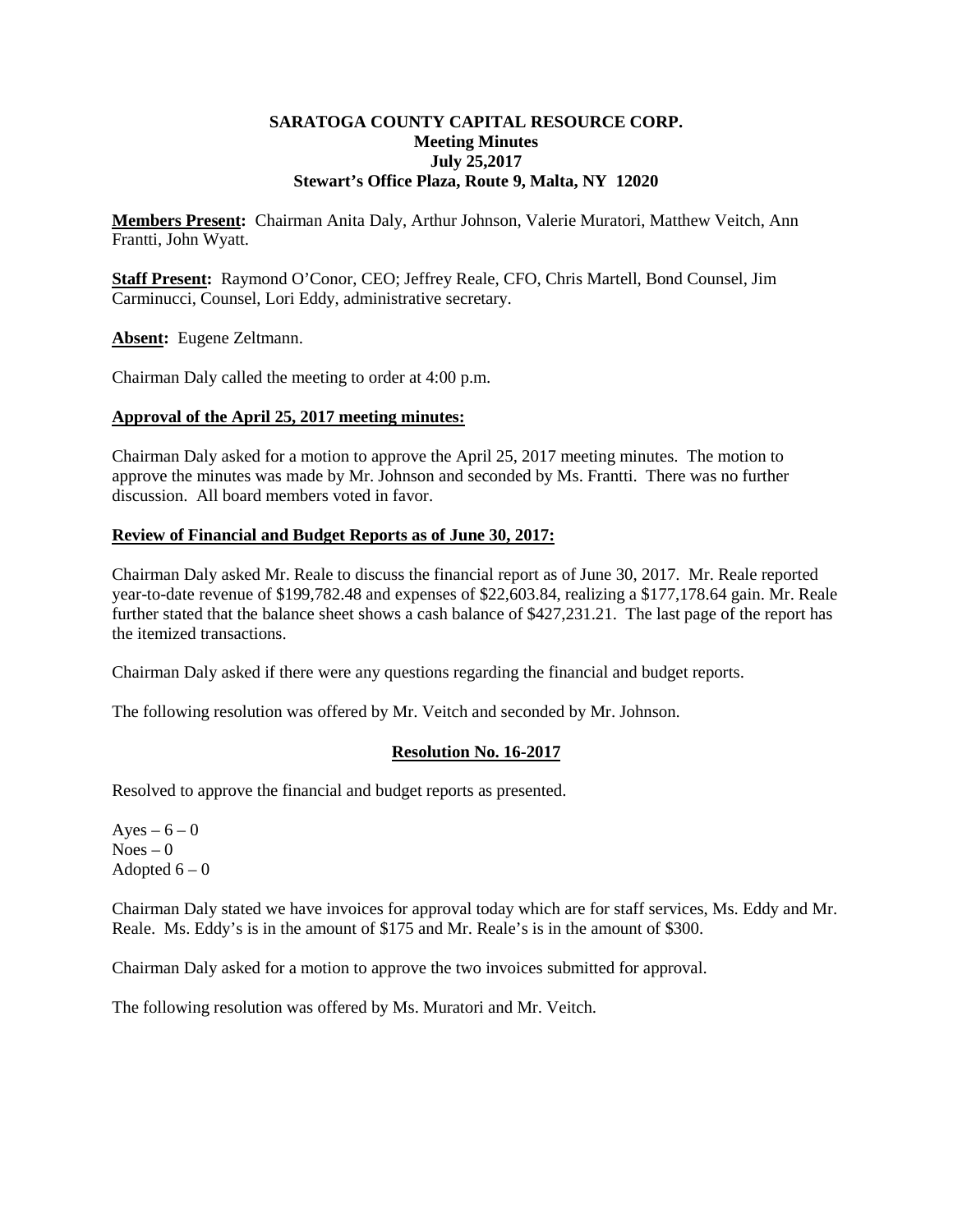#### **SARATOGA COUNTY CAPITAL RESOURCE CORP. Meeting Minutes July 25,2017 Stewart's Office Plaza, Route 9, Malta, NY 12020**

**Members Present:** Chairman Anita Daly, Arthur Johnson, Valerie Muratori, Matthew Veitch, Ann Frantti, John Wyatt.

**Staff Present:** Raymond O'Conor, CEO; Jeffrey Reale, CFO, Chris Martell, Bond Counsel, Jim Carminucci, Counsel, Lori Eddy, administrative secretary.

Absent: Eugene Zeltmann.

Chairman Daly called the meeting to order at 4:00 p.m.

#### **Approval of the April 25, 2017 meeting minutes:**

Chairman Daly asked for a motion to approve the April 25, 2017 meeting minutes. The motion to approve the minutes was made by Mr. Johnson and seconded by Ms. Frantti. There was no further discussion. All board members voted in favor.

# **Review of Financial and Budget Reports as of June 30, 2017:**

Chairman Daly asked Mr. Reale to discuss the financial report as of June 30, 2017. Mr. Reale reported year-to-date revenue of \$199,782.48 and expenses of \$22,603.84, realizing a \$177,178.64 gain. Mr. Reale further stated that the balance sheet shows a cash balance of \$427,231.21. The last page of the report has the itemized transactions.

Chairman Daly asked if there were any questions regarding the financial and budget reports.

The following resolution was offered by Mr. Veitch and seconded by Mr. Johnson.

# **Resolution No. 16-2017**

Resolved to approve the financial and budget reports as presented.

Ayes –  $6 - 0$  $Noes - 0$ Adopted  $6 - 0$ 

Chairman Daly stated we have invoices for approval today which are for staff services, Ms. Eddy and Mr. Reale. Ms. Eddy's is in the amount of \$175 and Mr. Reale's is in the amount of \$300.

Chairman Daly asked for a motion to approve the two invoices submitted for approval.

The following resolution was offered by Ms. Muratori and Mr. Veitch.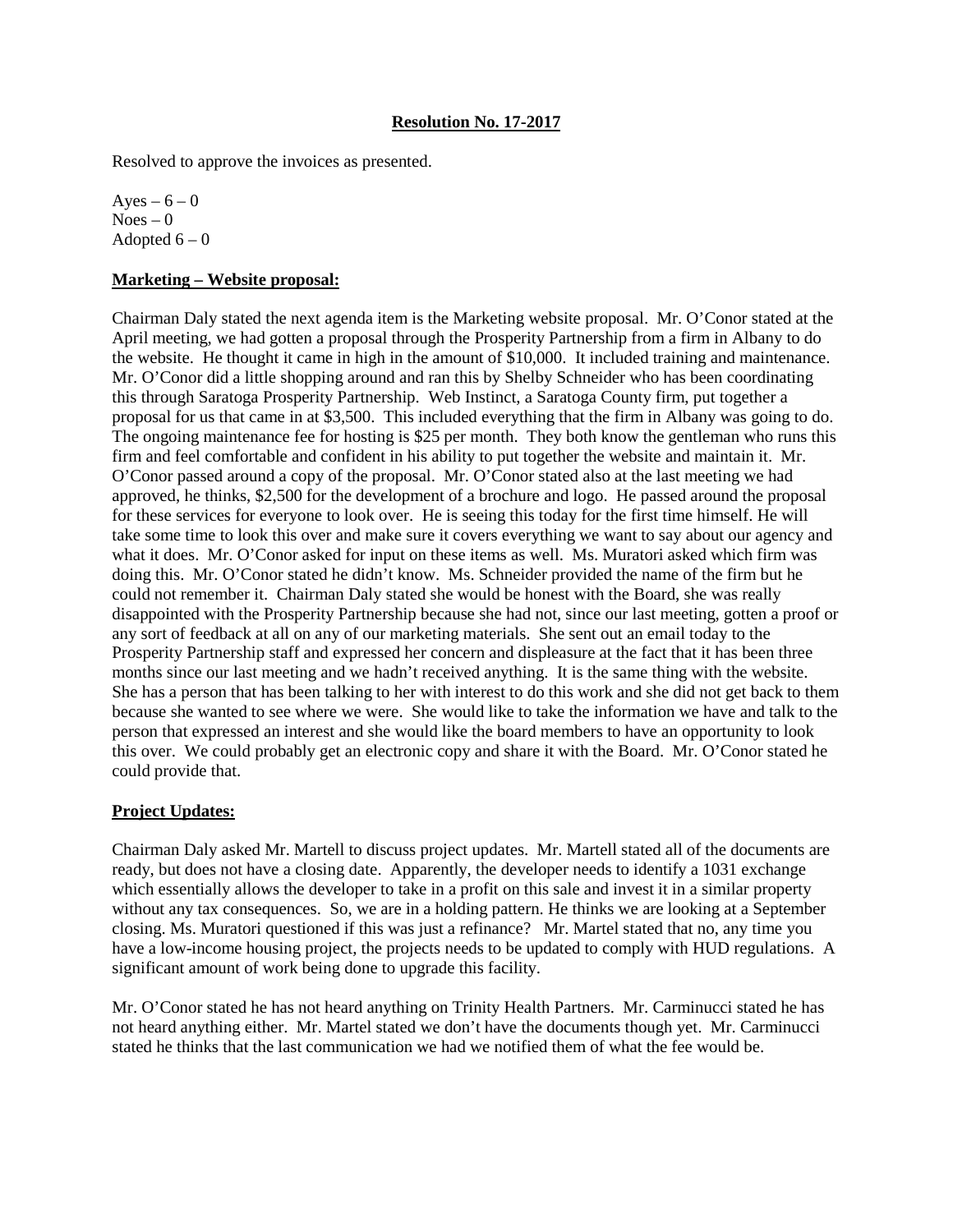Resolved to approve the invoices as presented.

Ayes –  $6 - 0$  $Noes - 0$ Adopted  $6 - 0$ 

#### **Marketing – Website proposal:**

Chairman Daly stated the next agenda item is the Marketing website proposal. Mr. O'Conor stated at the April meeting, we had gotten a proposal through the Prosperity Partnership from a firm in Albany to do the website. He thought it came in high in the amount of \$10,000. It included training and maintenance. Mr. O'Conor did a little shopping around and ran this by Shelby Schneider who has been coordinating this through Saratoga Prosperity Partnership. Web Instinct, a Saratoga County firm, put together a proposal for us that came in at \$3,500. This included everything that the firm in Albany was going to do. The ongoing maintenance fee for hosting is \$25 per month. They both know the gentleman who runs this firm and feel comfortable and confident in his ability to put together the website and maintain it. Mr. O'Conor passed around a copy of the proposal. Mr. O'Conor stated also at the last meeting we had approved, he thinks, \$2,500 for the development of a brochure and logo. He passed around the proposal for these services for everyone to look over. He is seeing this today for the first time himself. He will take some time to look this over and make sure it covers everything we want to say about our agency and what it does. Mr. O'Conor asked for input on these items as well. Ms. Muratori asked which firm was doing this. Mr. O'Conor stated he didn't know. Ms. Schneider provided the name of the firm but he could not remember it. Chairman Daly stated she would be honest with the Board, she was really disappointed with the Prosperity Partnership because she had not, since our last meeting, gotten a proof or any sort of feedback at all on any of our marketing materials. She sent out an email today to the Prosperity Partnership staff and expressed her concern and displeasure at the fact that it has been three months since our last meeting and we hadn't received anything. It is the same thing with the website. She has a person that has been talking to her with interest to do this work and she did not get back to them because she wanted to see where we were. She would like to take the information we have and talk to the person that expressed an interest and she would like the board members to have an opportunity to look this over. We could probably get an electronic copy and share it with the Board. Mr. O'Conor stated he could provide that.

# **Project Updates:**

Chairman Daly asked Mr. Martell to discuss project updates. Mr. Martell stated all of the documents are ready, but does not have a closing date. Apparently, the developer needs to identify a 1031 exchange which essentially allows the developer to take in a profit on this sale and invest it in a similar property without any tax consequences. So, we are in a holding pattern. He thinks we are looking at a September closing. Ms. Muratori questioned if this was just a refinance? Mr. Martel stated that no, any time you have a low-income housing project, the projects needs to be updated to comply with HUD regulations. A significant amount of work being done to upgrade this facility.

Mr. O'Conor stated he has not heard anything on Trinity Health Partners. Mr. Carminucci stated he has not heard anything either. Mr. Martel stated we don't have the documents though yet. Mr. Carminucci stated he thinks that the last communication we had we notified them of what the fee would be.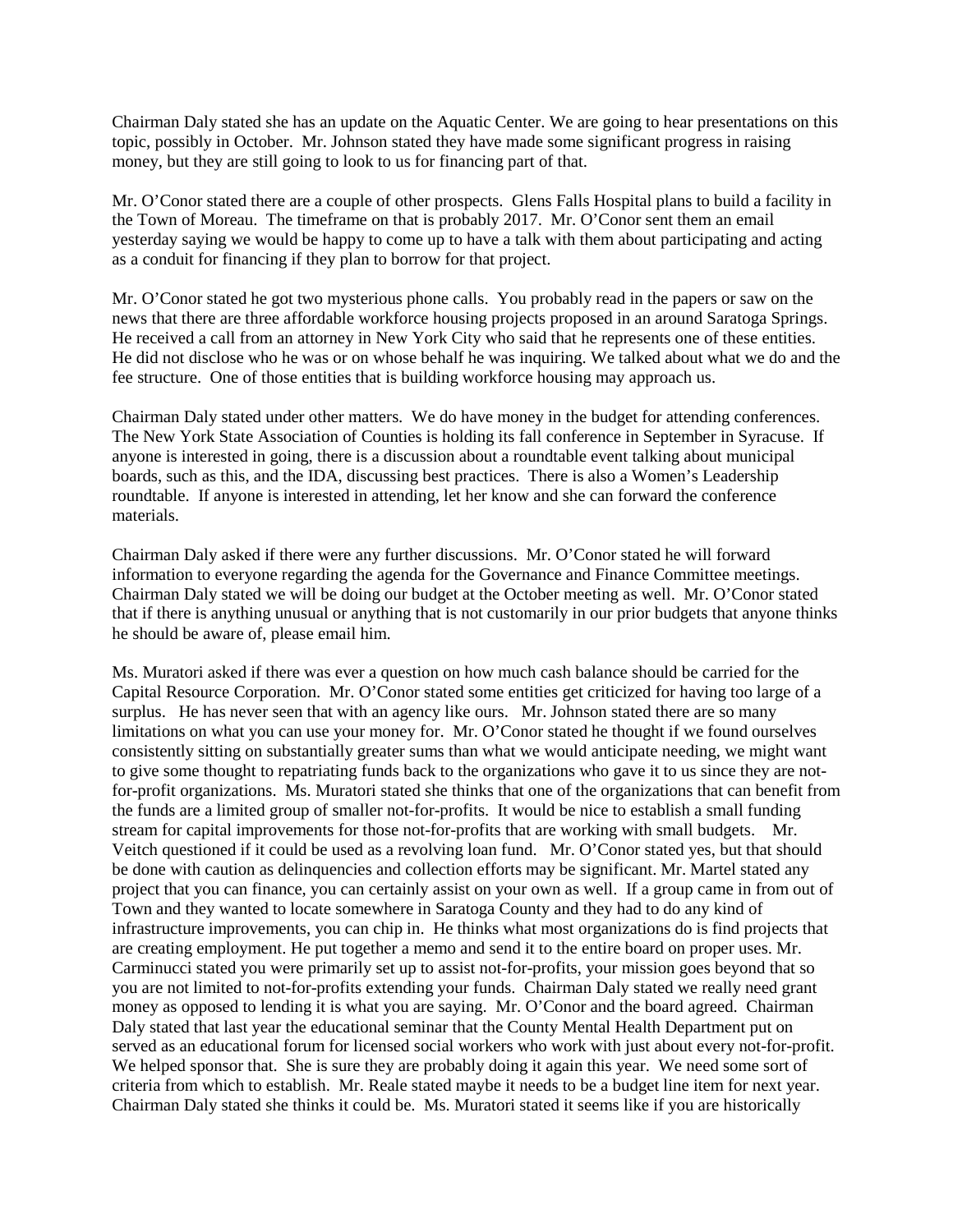Chairman Daly stated she has an update on the Aquatic Center. We are going to hear presentations on this topic, possibly in October. Mr. Johnson stated they have made some significant progress in raising money, but they are still going to look to us for financing part of that.

Mr. O'Conor stated there are a couple of other prospects. Glens Falls Hospital plans to build a facility in the Town of Moreau. The timeframe on that is probably 2017. Mr. O'Conor sent them an email yesterday saying we would be happy to come up to have a talk with them about participating and acting as a conduit for financing if they plan to borrow for that project.

Mr. O'Conor stated he got two mysterious phone calls. You probably read in the papers or saw on the news that there are three affordable workforce housing projects proposed in an around Saratoga Springs. He received a call from an attorney in New York City who said that he represents one of these entities. He did not disclose who he was or on whose behalf he was inquiring. We talked about what we do and the fee structure. One of those entities that is building workforce housing may approach us.

Chairman Daly stated under other matters. We do have money in the budget for attending conferences. The New York State Association of Counties is holding its fall conference in September in Syracuse. If anyone is interested in going, there is a discussion about a roundtable event talking about municipal boards, such as this, and the IDA, discussing best practices. There is also a Women's Leadership roundtable. If anyone is interested in attending, let her know and she can forward the conference materials.

Chairman Daly asked if there were any further discussions. Mr. O'Conor stated he will forward information to everyone regarding the agenda for the Governance and Finance Committee meetings. Chairman Daly stated we will be doing our budget at the October meeting as well. Mr. O'Conor stated that if there is anything unusual or anything that is not customarily in our prior budgets that anyone thinks he should be aware of, please email him.

Ms. Muratori asked if there was ever a question on how much cash balance should be carried for the Capital Resource Corporation. Mr. O'Conor stated some entities get criticized for having too large of a surplus. He has never seen that with an agency like ours. Mr. Johnson stated there are so many limitations on what you can use your money for. Mr. O'Conor stated he thought if we found ourselves consistently sitting on substantially greater sums than what we would anticipate needing, we might want to give some thought to repatriating funds back to the organizations who gave it to us since they are notfor-profit organizations. Ms. Muratori stated she thinks that one of the organizations that can benefit from the funds are a limited group of smaller not-for-profits. It would be nice to establish a small funding stream for capital improvements for those not-for-profits that are working with small budgets. Mr. Veitch questioned if it could be used as a revolving loan fund. Mr. O'Conor stated yes, but that should be done with caution as delinquencies and collection efforts may be significant. Mr. Martel stated any project that you can finance, you can certainly assist on your own as well. If a group came in from out of Town and they wanted to locate somewhere in Saratoga County and they had to do any kind of infrastructure improvements, you can chip in. He thinks what most organizations do is find projects that are creating employment. He put together a memo and send it to the entire board on proper uses. Mr. Carminucci stated you were primarily set up to assist not-for-profits, your mission goes beyond that so you are not limited to not-for-profits extending your funds. Chairman Daly stated we really need grant money as opposed to lending it is what you are saying. Mr. O'Conor and the board agreed. Chairman Daly stated that last year the educational seminar that the County Mental Health Department put on served as an educational forum for licensed social workers who work with just about every not-for-profit. We helped sponsor that. She is sure they are probably doing it again this year. We need some sort of criteria from which to establish. Mr. Reale stated maybe it needs to be a budget line item for next year. Chairman Daly stated she thinks it could be. Ms. Muratori stated it seems like if you are historically